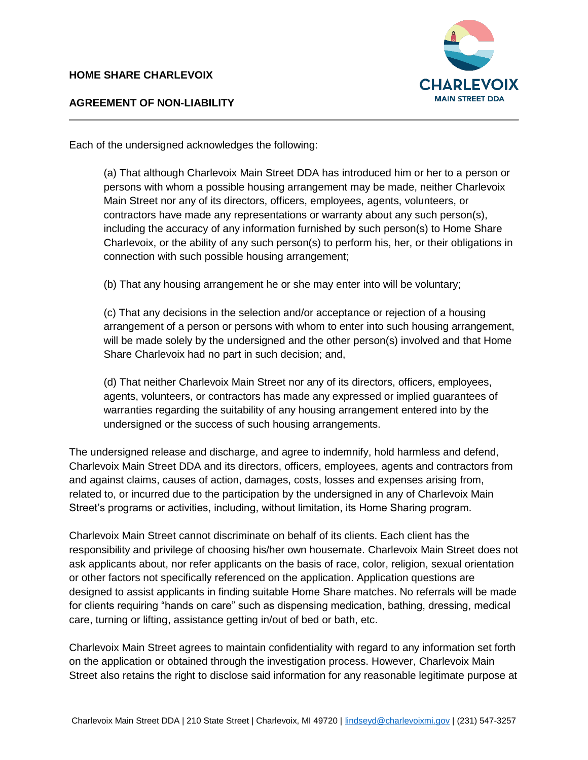## **HOME SHARE CHARLEVOIX**



## **AGREEMENT OF NON-LIABILITY**

Each of the undersigned acknowledges the following:

(a) That although Charlevoix Main Street DDA has introduced him or her to a person or persons with whom a possible housing arrangement may be made, neither Charlevoix Main Street nor any of its directors, officers, employees, agents, volunteers, or contractors have made any representations or warranty about any such person(s), including the accuracy of any information furnished by such person(s) to Home Share Charlevoix, or the ability of any such person(s) to perform his, her, or their obligations in connection with such possible housing arrangement;

(b) That any housing arrangement he or she may enter into will be voluntary;

(c) That any decisions in the selection and/or acceptance or rejection of a housing arrangement of a person or persons with whom to enter into such housing arrangement, will be made solely by the undersigned and the other person(s) involved and that Home Share Charlevoix had no part in such decision; and,

(d) That neither Charlevoix Main Street nor any of its directors, officers, employees, agents, volunteers, or contractors has made any expressed or implied guarantees of warranties regarding the suitability of any housing arrangement entered into by the undersigned or the success of such housing arrangements.

The undersigned release and discharge, and agree to indemnify, hold harmless and defend, Charlevoix Main Street DDA and its directors, officers, employees, agents and contractors from and against claims, causes of action, damages, costs, losses and expenses arising from, related to, or incurred due to the participation by the undersigned in any of Charlevoix Main Street's programs or activities, including, without limitation, its Home Sharing program.

Charlevoix Main Street cannot discriminate on behalf of its clients. Each client has the responsibility and privilege of choosing his/her own housemate. Charlevoix Main Street does not ask applicants about, nor refer applicants on the basis of race, color, religion, sexual orientation or other factors not specifically referenced on the application. Application questions are designed to assist applicants in finding suitable Home Share matches. No referrals will be made for clients requiring "hands on care" such as dispensing medication, bathing, dressing, medical care, turning or lifting, assistance getting in/out of bed or bath, etc.

Charlevoix Main Street agrees to maintain confidentiality with regard to any information set forth on the application or obtained through the investigation process. However, Charlevoix Main Street also retains the right to disclose said information for any reasonable legitimate purpose at